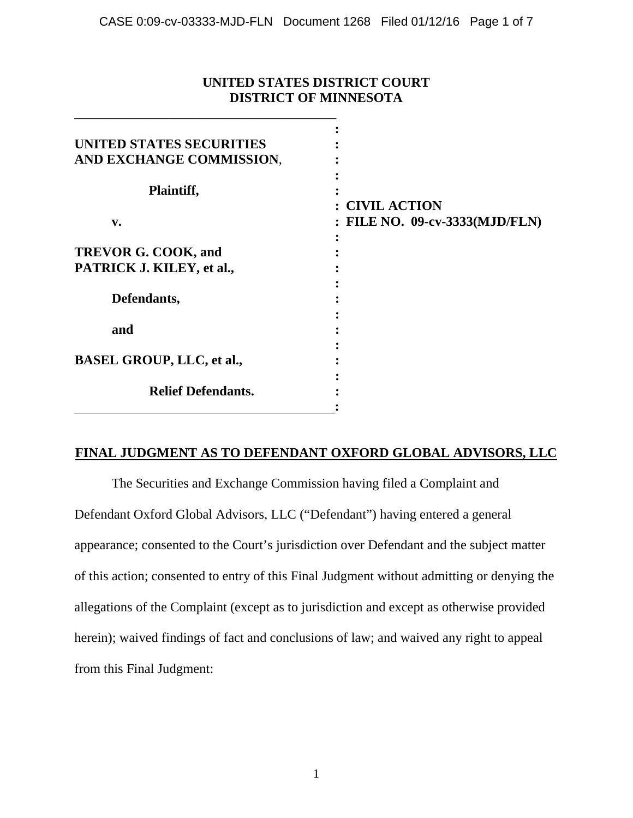# **UNITED STATES DISTRICT COURT DISTRICT OF MINNESOTA**

\_\_\_\_\_\_\_\_\_\_\_\_\_\_\_\_\_\_\_\_\_\_\_\_\_\_\_\_\_\_\_\_\_\_\_\_\_\_\_

| UNITED STATES SECURITIES         |                                |
|----------------------------------|--------------------------------|
| AND EXCHANGE COMMISSION,         |                                |
| Plaintiff,                       |                                |
|                                  | : CIVIL ACTION                 |
| v.                               | : FILE NO. 09-cv-3333(MJD/FLN) |
| <b>TREVOR G. COOK, and</b>       |                                |
| PATRICK J. KILEY, et al.,        |                                |
| Defendants,                      |                                |
| and                              |                                |
| <b>BASEL GROUP, LLC, et al.,</b> |                                |
| <b>Relief Defendants.</b>        |                                |

# **FINAL JUDGMENT AS TO DEFENDANT OXFORD GLOBAL ADVISORS, LLC**

The Securities and Exchange Commission having filed a Complaint and Defendant Oxford Global Advisors, LLC ("Defendant") having entered a general appearance; consented to the Court's jurisdiction over Defendant and the subject matter of this action; consented to entry of this Final Judgment without admitting or denying the allegations of the Complaint (except as to jurisdiction and except as otherwise provided herein); waived findings of fact and conclusions of law; and waived any right to appeal from this Final Judgment: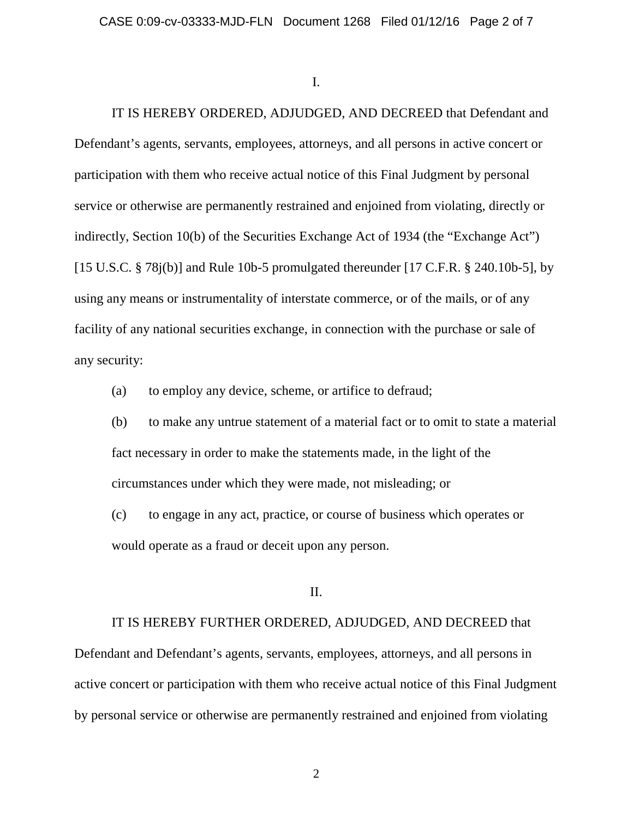I.

IT IS HEREBY ORDERED, ADJUDGED, AND DECREED that Defendant and Defendant's agents, servants, employees, attorneys, and all persons in active concert or participation with them who receive actual notice of this Final Judgment by personal service or otherwise are permanently restrained and enjoined from violating, directly or indirectly, Section 10(b) of the Securities Exchange Act of 1934 (the "Exchange Act") [15 U.S.C.  $\S$  78j(b)] and Rule 10b-5 promulgated thereunder [17 C.F.R.  $\S$  240.10b-5], by using any means or instrumentality of interstate commerce, or of the mails, or of any facility of any national securities exchange, in connection with the purchase or sale of any security:

(a) to employ any device, scheme, or artifice to defraud;

(b) to make any untrue statement of a material fact or to omit to state a material fact necessary in order to make the statements made, in the light of the circumstances under which they were made, not misleading; or

(c) to engage in any act, practice, or course of business which operates or would operate as a fraud or deceit upon any person.

II.

IT IS HEREBY FURTHER ORDERED, ADJUDGED, AND DECREED that

Defendant and Defendant's agents, servants, employees, attorneys, and all persons in active concert or participation with them who receive actual notice of this Final Judgment by personal service or otherwise are permanently restrained and enjoined from violating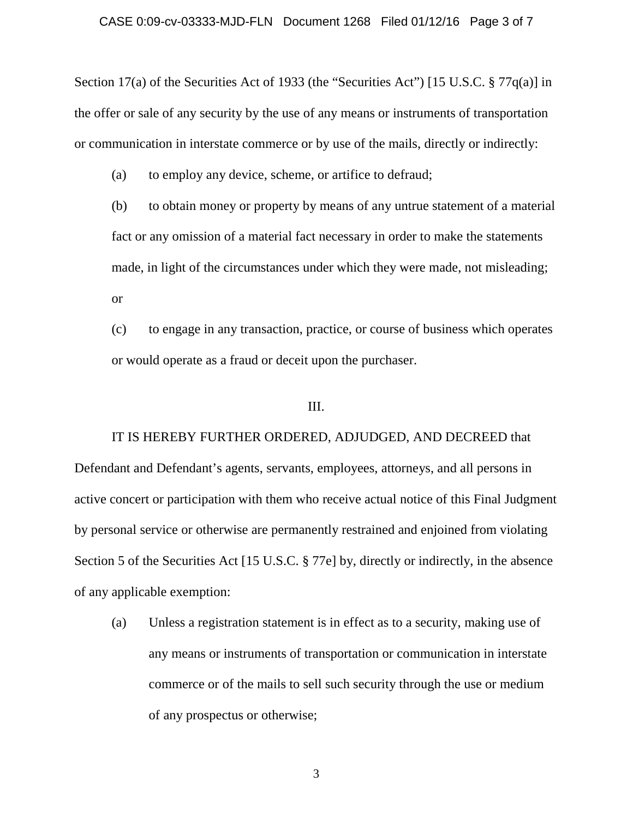Section 17(a) of the Securities Act of 1933 (the "Securities Act") [15 U.S.C. § 77q(a)] in the offer or sale of any security by the use of any means or instruments of transportation or communication in interstate commerce or by use of the mails, directly or indirectly:

(a) to employ any device, scheme, or artifice to defraud;

(b) to obtain money or property by means of any untrue statement of a material fact or any omission of a material fact necessary in order to make the statements made, in light of the circumstances under which they were made, not misleading; or

(c) to engage in any transaction, practice, or course of business which operates or would operate as a fraud or deceit upon the purchaser.

## III.

IT IS HEREBY FURTHER ORDERED, ADJUDGED, AND DECREED that Defendant and Defendant's agents, servants, employees, attorneys, and all persons in active concert or participation with them who receive actual notice of this Final Judgment by personal service or otherwise are permanently restrained and enjoined from violating Section 5 of the Securities Act [15 U.S.C. § 77e] by, directly or indirectly, in the absence of any applicable exemption:

(a) Unless a registration statement is in effect as to a security, making use of any means or instruments of transportation or communication in interstate commerce or of the mails to sell such security through the use or medium of any prospectus or otherwise;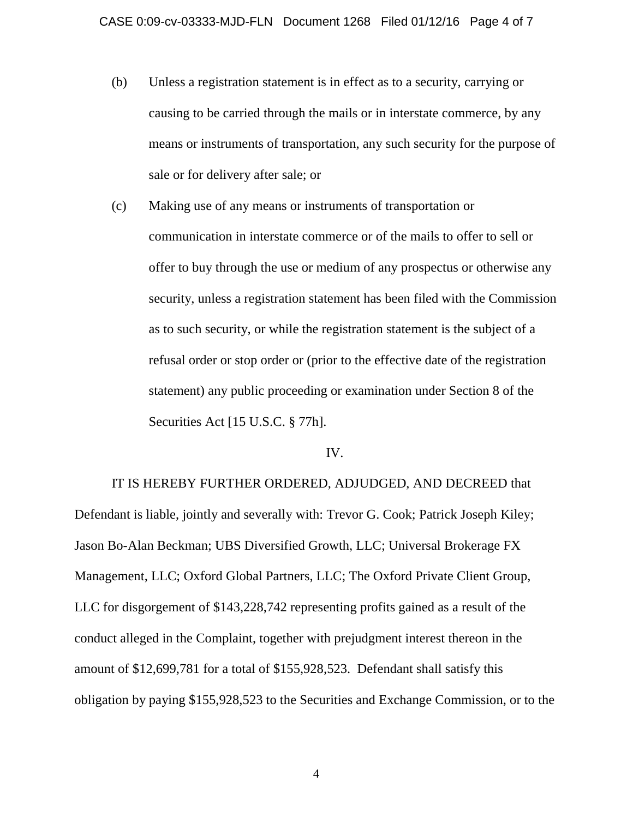- (b) Unless a registration statement is in effect as to a security, carrying or causing to be carried through the mails or in interstate commerce, by any means or instruments of transportation, any such security for the purpose of sale or for delivery after sale; or
- (c) Making use of any means or instruments of transportation or communication in interstate commerce or of the mails to offer to sell or offer to buy through the use or medium of any prospectus or otherwise any security, unless a registration statement has been filed with the Commission as to such security, or while the registration statement is the subject of a refusal order or stop order or (prior to the effective date of the registration statement) any public proceeding or examination under Section 8 of the Securities Act [15 U.S.C. § 77h].

#### IV.

IT IS HEREBY FURTHER ORDERED, ADJUDGED, AND DECREED that Defendant is liable, jointly and severally with: Trevor G. Cook; Patrick Joseph Kiley; Jason Bo-Alan Beckman; UBS Diversified Growth, LLC; Universal Brokerage FX Management, LLC; Oxford Global Partners, LLC; The Oxford Private Client Group, LLC for disgorgement of \$143,228,742 representing profits gained as a result of the conduct alleged in the Complaint, together with prejudgment interest thereon in the amount of \$12,699,781 for a total of \$155,928,523. Defendant shall satisfy this obligation by paying \$155,928,523 to the Securities and Exchange Commission, or to the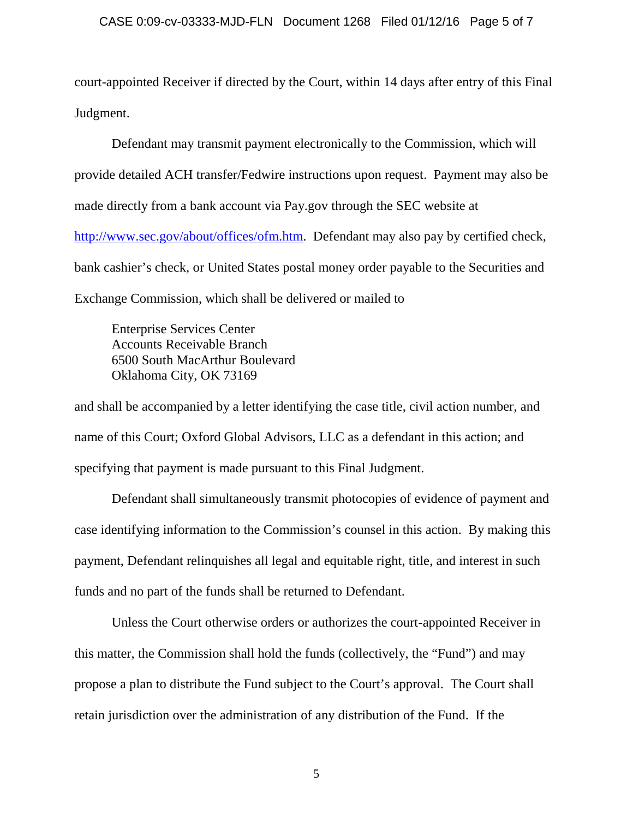court-appointed Receiver if directed by the Court, within 14 days after entry of this Final Judgment.

Defendant may transmit payment electronically to the Commission, which will provide detailed ACH transfer/Fedwire instructions upon request. Payment may also be made directly from a bank account via Pay.gov through the SEC website at [http://www.sec.gov/about/offices/ofm.htm.](http://www.sec.gov/about/offices/ofm.htm) Defendant may also pay by certified check, bank cashier's check, or United States postal money order payable to the Securities and Exchange Commission, which shall be delivered or mailed to

Enterprise Services Center Accounts Receivable Branch 6500 South MacArthur Boulevard Oklahoma City, OK 73169

and shall be accompanied by a letter identifying the case title, civil action number, and name of this Court; Oxford Global Advisors, LLC as a defendant in this action; and specifying that payment is made pursuant to this Final Judgment.

Defendant shall simultaneously transmit photocopies of evidence of payment and case identifying information to the Commission's counsel in this action. By making this payment, Defendant relinquishes all legal and equitable right, title, and interest in such funds and no part of the funds shall be returned to Defendant.

Unless the Court otherwise orders or authorizes the court-appointed Receiver in this matter, the Commission shall hold the funds (collectively, the "Fund") and may propose a plan to distribute the Fund subject to the Court's approval. The Court shall retain jurisdiction over the administration of any distribution of the Fund. If the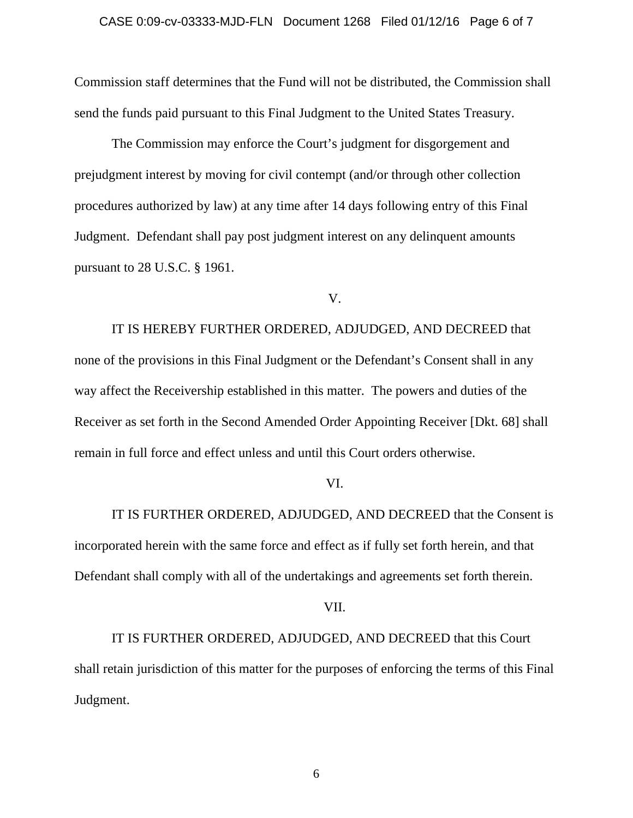Commission staff determines that the Fund will not be distributed, the Commission shall send the funds paid pursuant to this Final Judgment to the United States Treasury.

The Commission may enforce the Court's judgment for disgorgement and prejudgment interest by moving for civil contempt (and/or through other collection procedures authorized by law) at any time after 14 days following entry of this Final Judgment. Defendant shall pay post judgment interest on any delinquent amounts pursuant to 28 U.S.C. § 1961.

V.

IT IS HEREBY FURTHER ORDERED, ADJUDGED, AND DECREED that none of the provisions in this Final Judgment or the Defendant's Consent shall in any way affect the Receivership established in this matter. The powers and duties of the Receiver as set forth in the Second Amended Order Appointing Receiver [Dkt. 68] shall remain in full force and effect unless and until this Court orders otherwise.

### VI.

IT IS FURTHER ORDERED, ADJUDGED, AND DECREED that the Consent is incorporated herein with the same force and effect as if fully set forth herein, and that Defendant shall comply with all of the undertakings and agreements set forth therein.

VII.

IT IS FURTHER ORDERED, ADJUDGED, AND DECREED that this Court shall retain jurisdiction of this matter for the purposes of enforcing the terms of this Final Judgment.